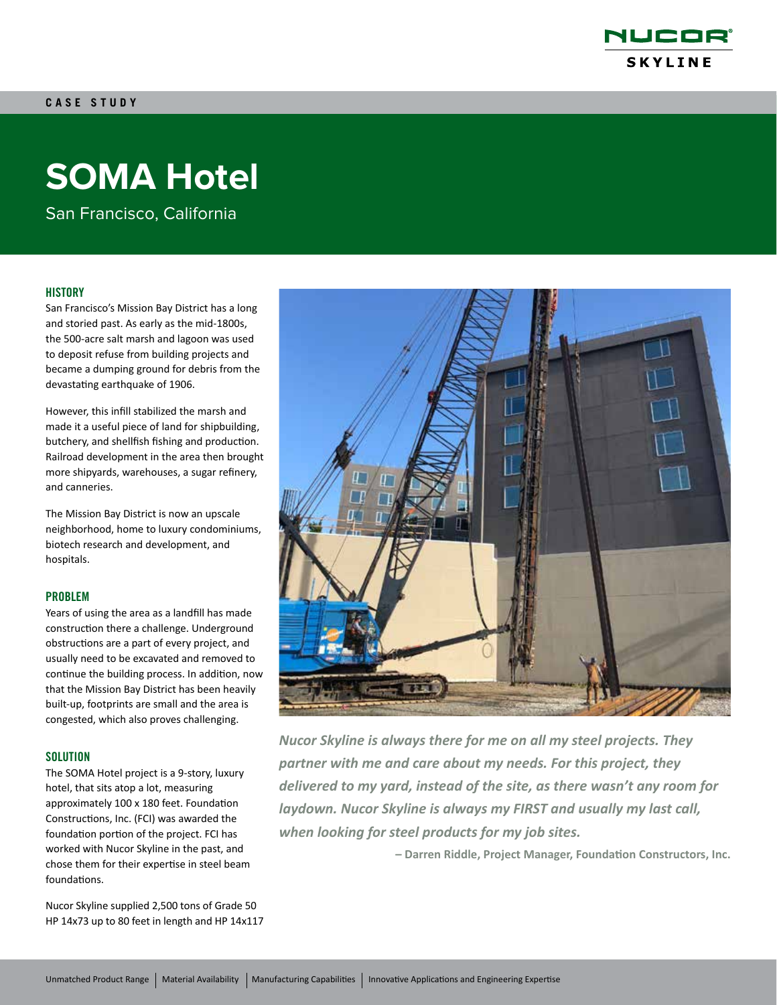

# **SOMA Hotel**

San Francisco, California

## **HISTORY**

San Francisco's Mission Bay District has a long and storied past. As early as the mid-1800s, the 500-acre salt marsh and lagoon was used to deposit refuse from building projects and became a dumping ground for debris from the devastating earthquake of 1906.

However, this infill stabilized the marsh and made it a useful piece of land for shipbuilding, butchery, and shellfish fishing and production. Railroad development in the area then brought more shipyards, warehouses, a sugar refinery, and canneries.

The Mission Bay District is now an upscale neighborhood, home to luxury condominiums, biotech research and development, and hospitals.

#### PROBLEM

Years of using the area as a landfill has made construction there a challenge. Underground obstructions are a part of every project, and usually need to be excavated and removed to continue the building process. In addition, now that the Mission Bay District has been heavily built-up, footprints are small and the area is congested, which also proves challenging.

### **SOLUTION**

The SOMA Hotel project is a 9-story, luxury hotel, that sits atop a lot, measuring approximately 100 x 180 feet. Foundation Constructions, Inc. (FCI) was awarded the foundation portion of the project. FCI has worked with Nucor Skyline in the past, and chose them for their expertise in steel beam foundations.

Nucor Skyline supplied 2,500 tons of Grade 50 HP 14x73 up to 80 feet in length and HP 14x117



*Nucor Skyline is always there for me on all my steel projects. They partner with me and care about my needs. For this project, they delivered to my yard, instead of the site, as there wasn't any room for laydown. Nucor Skyline is always my FIRST and usually my last call, when looking for steel products for my job sites.*

**– Darren Riddle, Project Manager, Foundation Constructors, Inc.**